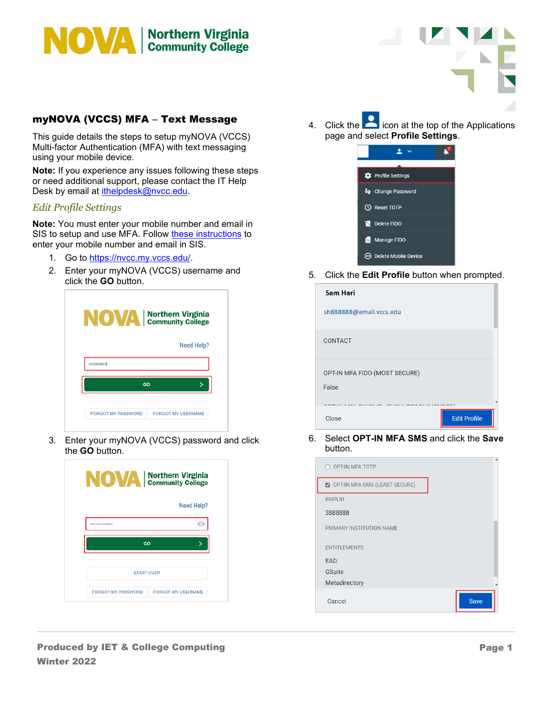

## myNOVA (VCCS) MFA – Text Message

This guide details the steps to setup myNOVA (VCCS) Multi-factor Authentication (MFA) with text messaging using your mobile device.

**Note:** If you experience any issues following these steps or need additional support, please contact the IT Help Desk by email at *ithelpdesk@nvcc.edu.* 

## *Edit Profile Settings*

**Note:** You must enter your mobile number and email in SIS to setup and use MFA. Follow [these instructions](https://www.nvcc.edu/ithd/_docs/NVCC_Enter_a_Mobile_Number_and_Email_in_SIS_Students_QRG.pdf) to enter your mobile number and email in SIS.

- 1. Go to [https://nvcc.my.vccs.edu/.](https://nvcc.my.vccs.edu/)
- 2. Enter your myNOVA (VCCS) username and click the **GO** button.

| Need Help? |
|------------|
|            |
| sh888888   |
| GO<br>↘    |

3. Enter your myNOVA (VCCS) password and click the **GO** button.

| <b>NOVA</b>   Northern Virginia |                           |
|---------------------------------|---------------------------|
|                                 | Need Help?                |
|                                 | ۰                         |
| GO                              |                           |
| <b>START OVER</b>               |                           |
| FORGOT MY PASSWORD              | <b>FORGOT MY USERNAME</b> |

4. Click the  $\Box$  icon at the top of the Applications page and select **Profile Settings**.



5. Click the **Edit Profile** button when prompted.

| <b>Sam Hari</b>               |                     |
|-------------------------------|---------------------|
| sh888888@email.vccs.edu       |                     |
| <b>CONTACT</b>                |                     |
| OPT-IN MFA FIDO (MOST SECURE) |                     |
| False                         |                     |
| Close                         | <b>Edit Profile</b> |

6. Select **OPT-IN MFA SMS** and click the **Save** button.

| OPT-IN MFA TOTP               |      |
|-------------------------------|------|
| OPT-IN MFA SMS (LEAST SECURE) |      |
| <b>EMPLID</b>                 |      |
| 3888888                       |      |
| PRIMARY INSTITUTION NAME      |      |
| <b>ENTITLEMENTS</b>           |      |
| <b>EAD</b>                    |      |
| <b>GSuite</b>                 |      |
| Metadirectory                 |      |
| Cancel                        | Save |

Produced by IET & College Computing Winter 2022